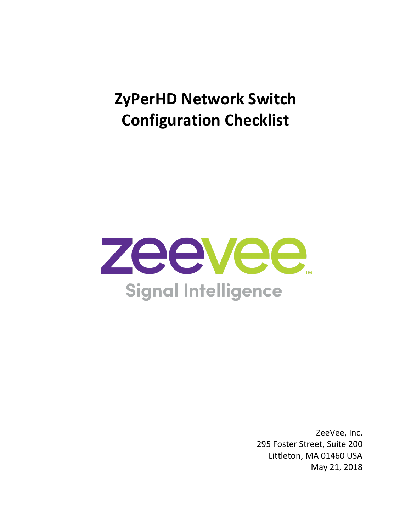# **ZyPerHD Network Switch Configuration Checklist**



ZeeVee, Inc. 295 Foster Street, Suite 200 Littleton, MA 01460 USA May 21, 2018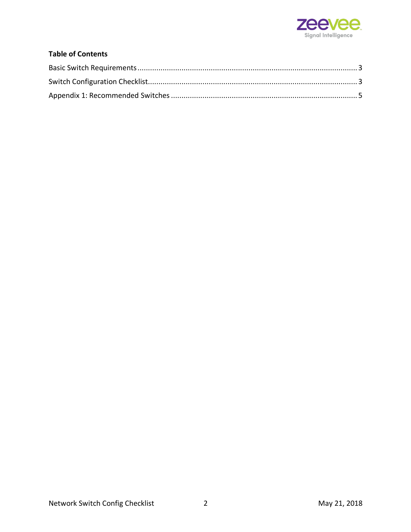

#### **Table of Contents**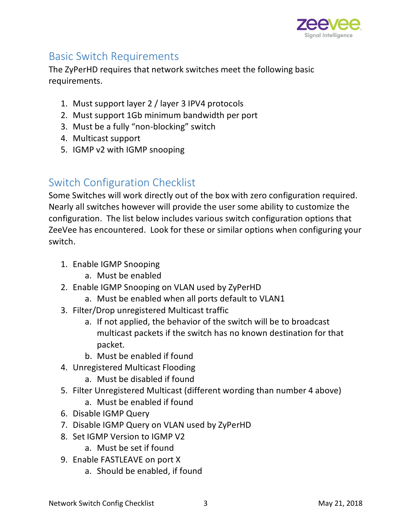

#### Basic Switch Requirements

The ZyPerHD requires that network switches meet the following basic requirements.

- 1. Must support layer 2 / layer 3 IPV4 protocols
- 2. Must support 1Gb minimum bandwidth per port
- 3. Must be a fully "non-blocking" switch
- 4. Multicast support
- 5. IGMP v2 with IGMP snooping

## Switch Configuration Checklist

Some Switches will work directly out of the box with zero configuration required. Nearly all switches however will provide the user some ability to customize the configuration. The list below includes various switch configuration options that ZeeVee has encountered. Look for these or similar options when configuring your switch.

- 1. Enable IGMP Snooping
	- a. Must be enabled
- 2. Enable IGMP Snooping on VLAN used by ZyPerHD
	- a. Must be enabled when all ports default to VLAN1
- 3. Filter/Drop unregistered Multicast traffic
	- a. If not applied, the behavior of the switch will be to broadcast multicast packets if the switch has no known destination for that packet.
	- b. Must be enabled if found
- 4. Unregistered Multicast Flooding
	- a. Must be disabled if found
- 5. Filter Unregistered Multicast (different wording than number 4 above)
	- a. Must be enabled if found
- 6. Disable IGMP Query
- 7. Disable IGMP Query on VLAN used by ZyPerHD
- 8. Set IGMP Version to IGMP V2
	- a. Must be set if found
- 9. Enable FASTLEAVE on port X
	- a. Should be enabled, if found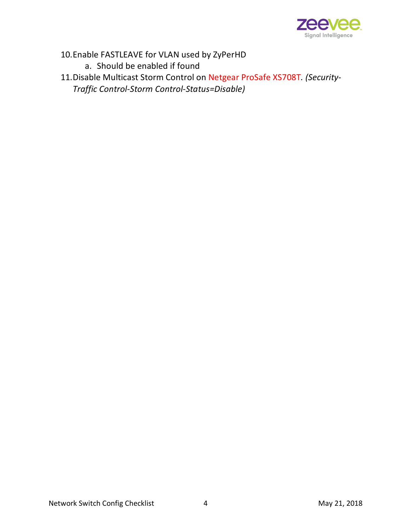

10.Enable FASTLEAVE for VLAN used by ZyPerHD a. Should be enabled if found

11.Disable Multicast Storm Control on Netgear ProSafe XS708T*. (Security-Traffic Control-Storm Control-Status=Disable)*